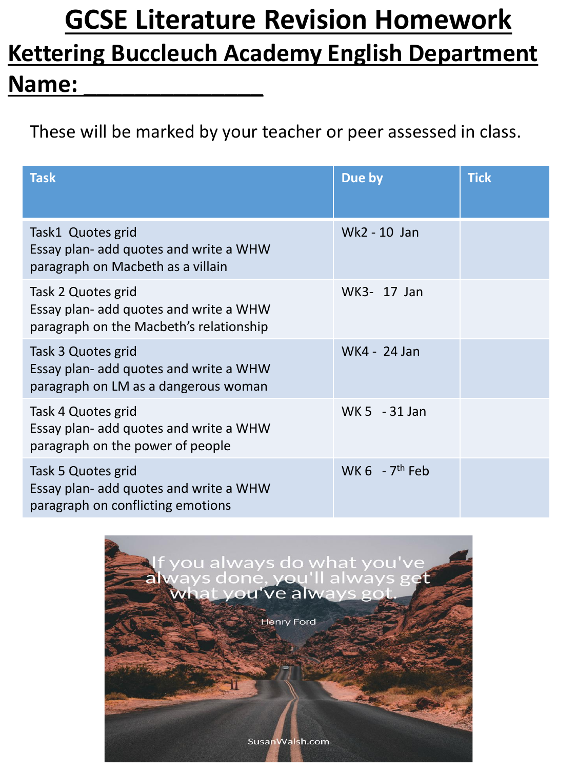# **GCSE Literature Revision Homework Kettering Buccleuch Academy English Department Name: \_\_\_\_\_\_\_\_\_\_\_\_\_\_**

These will be marked by your teacher or peer assessed in class.

| <b>Task</b>                                                                                             | Due by                       | <b>Tick</b> |
|---------------------------------------------------------------------------------------------------------|------------------------------|-------------|
| Task1 Quotes grid<br>Essay plan- add quotes and write a WHW<br>paragraph on Macbeth as a villain        | Wk2 - 10 Jan                 |             |
| Task 2 Quotes grid<br>Essay plan- add quotes and write a WHW<br>paragraph on the Macbeth's relationship | WK3- 17 Jan                  |             |
| Task 3 Quotes grid<br>Essay plan- add quotes and write a WHW<br>paragraph on LM as a dangerous woman    | WK4 - 24 Jan                 |             |
| Task 4 Quotes grid<br>Essay plan- add quotes and write a WHW<br>paragraph on the power of people        | WK 5 - 31 Jan                |             |
| Task 5 Quotes grid<br>Essay plan- add quotes and write a WHW<br>paragraph on conflicting emotions       | WK $6 - 7$ <sup>th</sup> Feb |             |

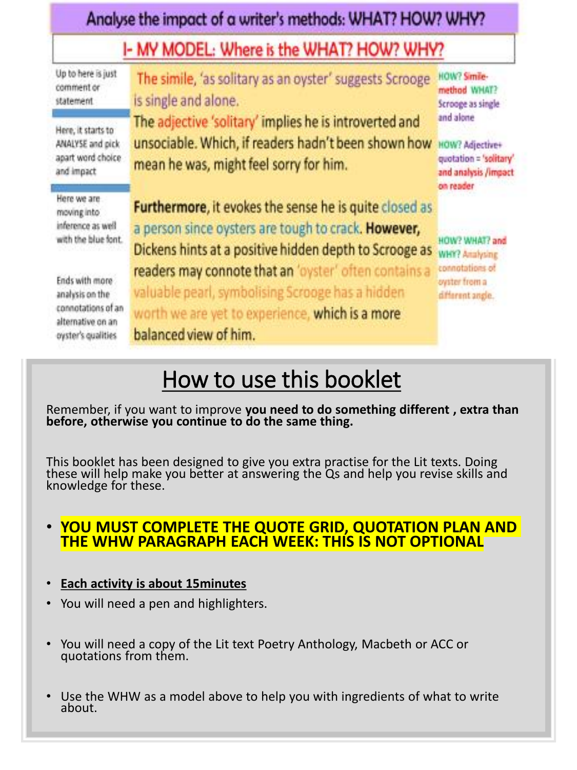| Analyse the impact of a writer's methods: WHAT? HOW? WHY?<br>I- MY MODEL: Where is the WHAT? HOW? WHY? |                                                                                                                                                                                       |                                                                                                    |
|--------------------------------------------------------------------------------------------------------|---------------------------------------------------------------------------------------------------------------------------------------------------------------------------------------|----------------------------------------------------------------------------------------------------|
|                                                                                                        |                                                                                                                                                                                       |                                                                                                    |
| Here, it starts to<br>ANALYSE and pick<br>apart word choice<br>and impact                              | The adjective 'solitary' implies he is introverted and<br>unsociable. Which, if readers hadn't been shown how<br>mean he was, might feel sorry for him.                               | and alone<br><b>HOW? Adjective+</b><br>quotation = 'solitary'<br>and analysis /impact<br>on reader |
| Here we are<br>moving into:<br>inference as well<br>with the blue font.                                | Furthermore, it evokes the sense he is quite closed as<br>a person since oysters are tough to crack. However,<br>Dickens hints at a positive hidden depth to Scrooge as               | HOW? WHAT? and<br><b>WHY? Analysing</b>                                                            |
| Ends with more<br>analysis on the<br>connotations of an<br>alternative on an<br>oyster's qualities     | readers may connote that an 'oyster' often contains a<br>valuable pearl, symbolising Scrooge has a hidden<br>worth we are yet to experience, which is a more<br>balanced view of him. | connotations of<br>oyster from a<br>different angle.                                               |

## How to use this booklet

Remember, if you want to improve **you need to do something different , extra than before, otherwise you continue to do the same thing.**

This booklet has been designed to give you extra practise for the Lit texts. Doing these will help make you better at answering the Qs and help you revise skills and knowledge for these.

#### • **YOU MUST COMPLETE THE QUOTE GRID, QUOTATION PLAN AND THE WHW PARAGRAPH EACH WEEK: THIS IS NOT OPTIONAL**

- **Each activity is about 15minutes**
- You will need a pen and highlighters.
- You will need a copy of the Lit text Poetry Anthology, Macbeth or ACC or quotations from them.
- Use the WHW as a model above to help you with ingredients of what to write about.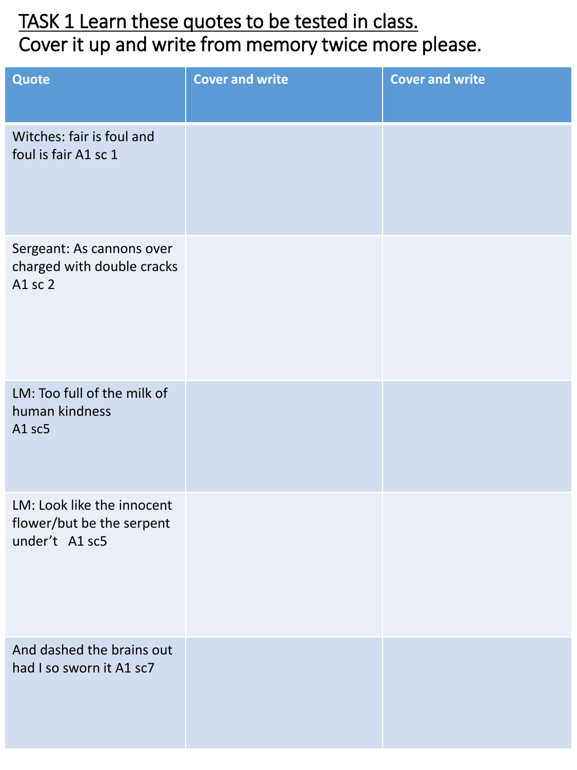## TASK 1 Learn these quotes to be tested in class. Cover it up and write from memory twice more please.

| Quote                                                                     | <b>Cover and write</b> | <b>Cover and write</b> |
|---------------------------------------------------------------------------|------------------------|------------------------|
| Witches: fair is foul and<br>foul is fair A1 sc 1                         |                        |                        |
| Sergeant: As cannons over<br>charged with double cracks<br>A1 sc 2        |                        |                        |
| LM: Too full of the milk of<br>human kindness<br>A1 sc5                   |                        |                        |
| LM: Look like the innocent<br>flower/but be the serpent<br>under't A1 sc5 |                        |                        |
| And dashed the brains out<br>had I so sworn it A1 sc7                     |                        |                        |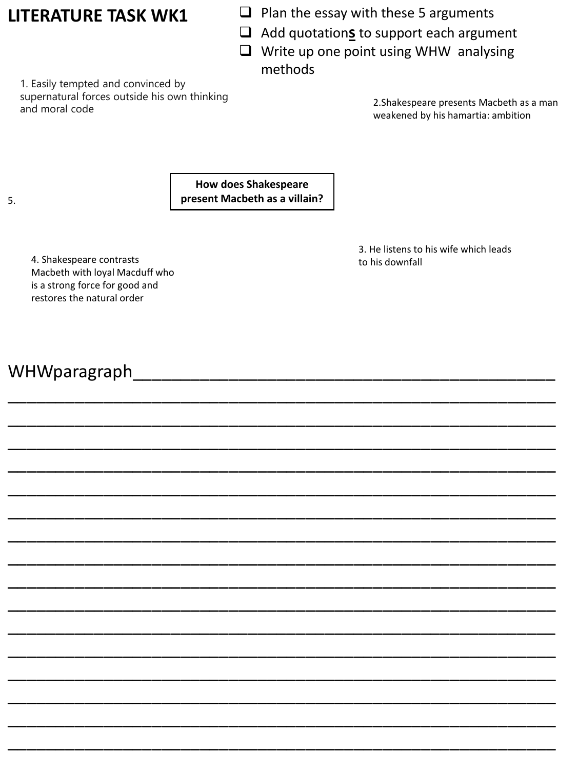#### **LITERATURE TASK WK1**

- $\Box$  Plan the essay with these 5 arguments
- ❑ Add quotation**s** to support each argument
- ❑ Write up one point using WHW analysing methods

1. Easily tempted and convinced by supernatural forces outside his own thinking supernatural forces outside ins own timiking<br>and moral code 2.Shakespeare presents Macbeth as a man

weakened by his hamartia: ambition

**How does Shakespeare present Macbeth as a villain?**

\_\_\_\_\_\_\_\_\_\_\_\_\_\_\_\_\_\_\_\_\_\_\_\_\_\_\_\_\_\_\_\_\_\_\_\_\_\_\_\_\_\_\_\_\_\_\_\_\_\_\_\_\_\_\_\_\_

\_\_\_\_\_\_\_\_\_\_\_\_\_\_\_\_\_\_\_\_\_\_\_\_\_\_\_\_\_\_\_\_\_\_\_\_\_\_\_\_\_\_\_\_\_\_\_\_\_\_\_\_\_\_\_\_\_

\_\_\_\_\_\_\_\_\_\_\_\_\_\_\_\_\_\_\_\_\_\_\_\_\_\_\_\_\_\_\_\_\_\_\_\_\_\_\_\_\_\_\_\_\_\_\_\_\_\_\_\_\_\_\_\_\_

\_\_\_\_\_\_\_\_\_\_\_\_\_\_\_\_\_\_\_\_\_\_\_\_\_\_\_\_\_\_\_\_\_\_\_\_\_\_\_\_\_\_\_\_\_\_\_\_\_\_\_\_\_\_\_\_\_

\_\_\_\_\_\_\_\_\_\_\_\_\_\_\_\_\_\_\_\_\_\_\_\_\_\_\_\_\_\_\_\_\_\_\_\_\_\_\_\_\_\_\_\_\_\_\_\_\_\_\_\_\_\_\_\_\_

\_\_\_\_\_\_\_\_\_\_\_\_\_\_\_\_\_\_\_\_\_\_\_\_\_\_\_\_\_\_\_\_\_\_\_\_\_\_\_\_\_\_\_\_\_\_\_\_\_\_\_\_\_\_\_\_\_

\_\_\_\_\_\_\_\_\_\_\_\_\_\_\_\_\_\_\_\_\_\_\_\_\_\_\_\_\_\_\_\_\_\_\_\_\_\_\_\_\_\_\_\_\_\_\_\_\_\_\_\_\_\_\_\_\_

\_\_\_\_\_\_\_\_\_\_\_\_\_\_\_\_\_\_\_\_\_\_\_\_\_\_\_\_\_\_\_\_\_\_\_\_\_\_\_\_\_\_\_\_\_\_\_\_\_\_\_\_\_\_\_\_\_

\_\_\_\_\_\_\_\_\_\_\_\_\_\_\_\_\_\_\_\_\_\_\_\_\_\_\_\_\_\_\_\_\_\_\_\_\_\_\_\_\_\_\_\_\_\_\_\_\_\_\_\_\_\_\_\_\_

\_\_\_\_\_\_\_\_\_\_\_\_\_\_\_\_\_\_\_\_\_\_\_\_\_\_\_\_\_\_\_\_\_\_\_\_\_\_\_\_\_\_\_\_\_\_\_\_\_\_\_\_\_\_\_\_\_

\_\_\_\_\_\_\_\_\_\_\_\_\_\_\_\_\_\_\_\_\_\_\_\_\_\_\_\_\_\_\_\_\_\_\_\_\_\_\_\_\_\_\_\_\_\_\_\_\_\_\_\_\_\_\_\_\_

\_\_\_\_\_\_\_\_\_\_\_\_\_\_\_\_\_\_\_\_\_\_\_\_\_\_\_\_\_\_\_\_\_\_\_\_\_\_\_\_\_\_\_\_\_\_\_\_\_\_\_\_\_\_\_\_\_

\_\_\_\_\_\_\_\_\_\_\_\_\_\_\_\_\_\_\_\_\_\_\_\_\_\_\_\_\_\_\_\_\_\_\_\_\_\_\_\_\_\_\_\_\_\_\_\_\_\_\_\_\_\_\_\_\_

\_\_\_\_\_\_\_\_\_\_\_\_\_\_\_\_\_\_\_\_\_\_\_\_\_\_\_\_\_\_\_\_\_\_\_\_\_\_\_\_\_\_\_\_\_\_\_\_\_\_\_\_\_\_\_\_\_

\_\_\_\_\_\_\_\_\_\_\_\_\_\_\_\_\_\_\_\_\_\_\_\_\_\_\_\_\_\_\_\_\_\_\_\_\_\_\_\_\_\_\_\_\_\_\_\_\_\_\_\_\_\_\_\_\_

\_\_\_\_\_\_\_\_\_\_\_\_\_\_\_\_\_\_\_\_\_\_\_\_\_\_\_\_\_\_\_\_\_\_\_\_\_\_\_\_\_\_\_\_\_\_\_\_\_\_\_\_\_\_\_\_\_

3. He listens to his wife which leads to his downfall

4. Shakespeare contrasts Macbeth with loyal Macduff who is a strong force for good and restores the natural order

#### WHWparagraph\_\_\_\_\_\_\_\_\_\_\_\_\_\_\_\_\_\_\_\_\_\_\_\_\_\_\_\_\_\_\_\_\_\_\_\_\_\_\_\_\_\_\_\_

5.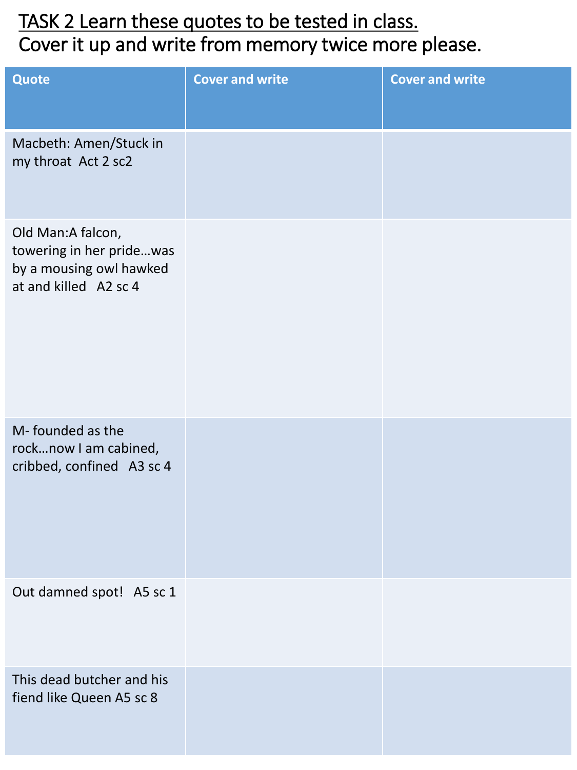## TASK 2 Learn these quotes to be tested in class. Cover it up and write from memory twice more please.

| Quote                                                                                             | <b>Cover and write</b> | <b>Cover and write</b> |
|---------------------------------------------------------------------------------------------------|------------------------|------------------------|
| Macbeth: Amen/Stuck in<br>my throat Act 2 sc2                                                     |                        |                        |
| Old Man:A falcon,<br>towering in her pridewas<br>by a mousing owl hawked<br>at and killed A2 sc 4 |                        |                        |
| M-founded as the<br>rocknow I am cabined,<br>cribbed, confined A3 sc 4                            |                        |                        |
| Out damned spot! A5 sc 1                                                                          |                        |                        |
| This dead butcher and his<br>fiend like Queen A5 sc 8                                             |                        |                        |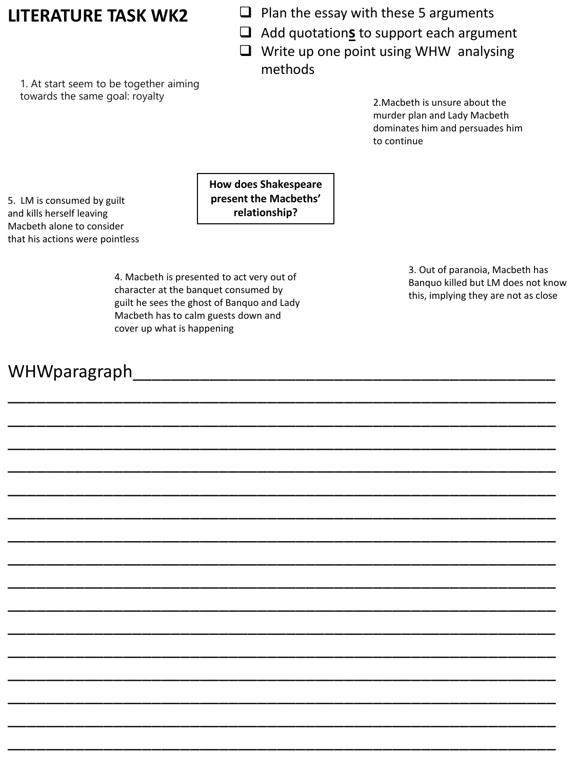- **LITERATURE TASK WK2** ❑ Plan the essay with these 5 arguments
	- ❑ Add quotation**s** to support each argument
	- ❑ Write up one point using WHW analysing methods

1. At start seem to be together aiming towards the same goal: royalty 2.Macbeth is unsure about the

murder plan and Lady Macbeth dominates him and persuades him to continue

5. LM is consumed by guilt and kills herself leaving Macbeth alone to consider that his actions were pointless **How does Shakespeare present the Macbeths' relationship?**

4. Macbeth is presented to act very out of character at the banquet consumed by guilt he sees the ghost of Banquo and Lady Macbeth has to calm guests down and cover up what is happening

WHWparagraph\_\_\_\_\_\_\_\_\_\_\_\_\_\_\_\_\_\_\_\_\_\_\_\_\_\_\_\_\_\_\_\_\_\_\_\_\_\_\_\_\_\_\_\_

\_\_\_\_\_\_\_\_\_\_\_\_\_\_\_\_\_\_\_\_\_\_\_\_\_\_\_\_\_\_\_\_\_\_\_\_\_\_\_\_\_\_\_\_\_\_\_\_\_\_\_\_\_\_\_\_\_

\_\_\_\_\_\_\_\_\_\_\_\_\_\_\_\_\_\_\_\_\_\_\_\_\_\_\_\_\_\_\_\_\_\_\_\_\_\_\_\_\_\_\_\_\_\_\_\_\_\_\_\_\_\_\_\_\_

\_\_\_\_\_\_\_\_\_\_\_\_\_\_\_\_\_\_\_\_\_\_\_\_\_\_\_\_\_\_\_\_\_\_\_\_\_\_\_\_\_\_\_\_\_\_\_\_\_\_\_\_\_\_\_\_\_

\_\_\_\_\_\_\_\_\_\_\_\_\_\_\_\_\_\_\_\_\_\_\_\_\_\_\_\_\_\_\_\_\_\_\_\_\_\_\_\_\_\_\_\_\_\_\_\_\_\_\_\_\_\_\_\_\_

\_\_\_\_\_\_\_\_\_\_\_\_\_\_\_\_\_\_\_\_\_\_\_\_\_\_\_\_\_\_\_\_\_\_\_\_\_\_\_\_\_\_\_\_\_\_\_\_\_\_\_\_\_\_\_\_\_

\_\_\_\_\_\_\_\_\_\_\_\_\_\_\_\_\_\_\_\_\_\_\_\_\_\_\_\_\_\_\_\_\_\_\_\_\_\_\_\_\_\_\_\_\_\_\_\_\_\_\_\_\_\_\_\_\_

\_\_\_\_\_\_\_\_\_\_\_\_\_\_\_\_\_\_\_\_\_\_\_\_\_\_\_\_\_\_\_\_\_\_\_\_\_\_\_\_\_\_\_\_\_\_\_\_\_\_\_\_\_\_\_\_\_

\_\_\_\_\_\_\_\_\_\_\_\_\_\_\_\_\_\_\_\_\_\_\_\_\_\_\_\_\_\_\_\_\_\_\_\_\_\_\_\_\_\_\_\_\_\_\_\_\_\_\_\_\_\_\_\_\_

\_\_\_\_\_\_\_\_\_\_\_\_\_\_\_\_\_\_\_\_\_\_\_\_\_\_\_\_\_\_\_\_\_\_\_\_\_\_\_\_\_\_\_\_\_\_\_\_\_\_\_\_\_\_\_\_\_

\_\_\_\_\_\_\_\_\_\_\_\_\_\_\_\_\_\_\_\_\_\_\_\_\_\_\_\_\_\_\_\_\_\_\_\_\_\_\_\_\_\_\_\_\_\_\_\_\_\_\_\_\_\_\_\_\_

\_\_\_\_\_\_\_\_\_\_\_\_\_\_\_\_\_\_\_\_\_\_\_\_\_\_\_\_\_\_\_\_\_\_\_\_\_\_\_\_\_\_\_\_\_\_\_\_\_\_\_\_\_\_\_\_\_

\_\_\_\_\_\_\_\_\_\_\_\_\_\_\_\_\_\_\_\_\_\_\_\_\_\_\_\_\_\_\_\_\_\_\_\_\_\_\_\_\_\_\_\_\_\_\_\_\_\_\_\_\_\_\_\_\_

\_\_\_\_\_\_\_\_\_\_\_\_\_\_\_\_\_\_\_\_\_\_\_\_\_\_\_\_\_\_\_\_\_\_\_\_\_\_\_\_\_\_\_\_\_\_\_\_\_\_\_\_\_\_\_\_\_

\_\_\_\_\_\_\_\_\_\_\_\_\_\_\_\_\_\_\_\_\_\_\_\_\_\_\_\_\_\_\_\_\_\_\_\_\_\_\_\_\_\_\_\_\_\_\_\_\_\_\_\_\_\_\_\_\_

\_\_\_\_\_\_\_\_\_\_\_\_\_\_\_\_\_\_\_\_\_\_\_\_\_\_\_\_\_\_\_\_\_\_\_\_\_\_\_\_\_\_\_\_\_\_\_\_\_\_\_\_\_\_\_\_\_

\_\_\_\_\_\_\_\_\_\_\_\_\_\_\_\_\_\_\_\_\_\_\_\_\_\_\_\_\_\_\_\_\_\_\_\_\_\_\_\_\_\_\_\_\_\_\_\_\_\_\_\_\_\_\_\_\_

3. Out of paranoia, Macbeth has Banquo killed but LM does not know this, implying they are not as close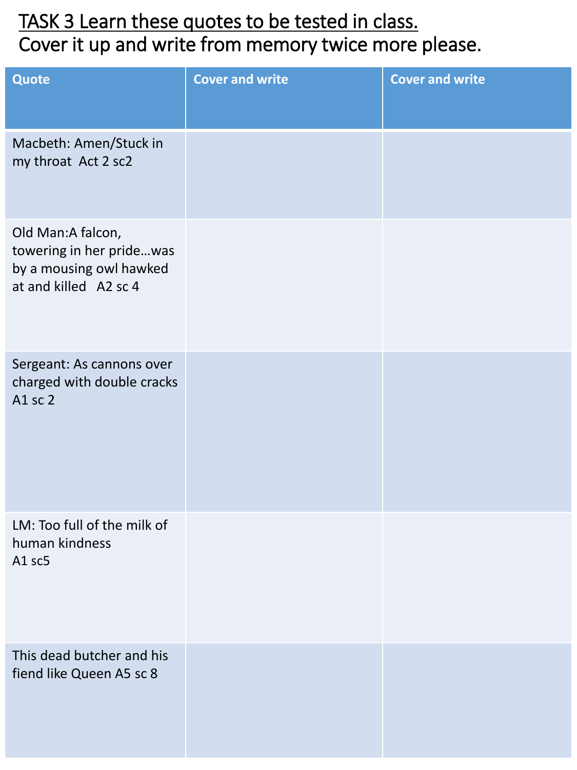## TASK 3 Learn these quotes to be tested in class. Cover it up and write from memory twice more please.

| <b>Quote</b>                                                                                      | <b>Cover and write</b> | <b>Cover and write</b> |
|---------------------------------------------------------------------------------------------------|------------------------|------------------------|
|                                                                                                   |                        |                        |
| Macbeth: Amen/Stuck in<br>my throat Act 2 sc2                                                     |                        |                        |
| Old Man:A falcon,<br>towering in her pridewas<br>by a mousing owl hawked<br>at and killed A2 sc 4 |                        |                        |
| Sergeant: As cannons over<br>charged with double cracks<br>A1 sc 2                                |                        |                        |
| LM: Too full of the milk of<br>human kindness<br>A1 sc5                                           |                        |                        |
| This dead butcher and his<br>fiend like Queen A5 sc 8                                             |                        |                        |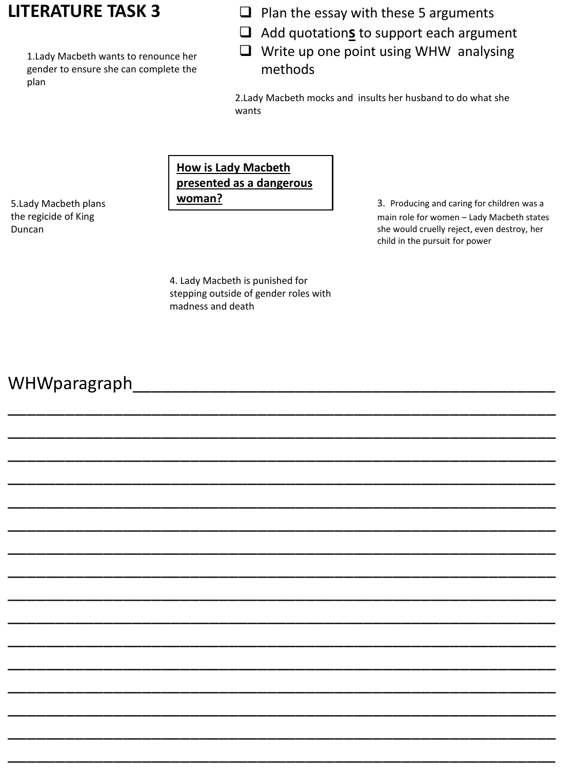#### **LITERATURE TASK 3**

1.Lady Macbeth wants to renounce her gender to ensure she can complete the plan

- $\Box$  Plan the essay with these 5 arguments
- ❑ Add quotation**s** to support each argument
- ❑ Write up one point using WHW analysing methods

2.Lady Macbeth mocks and insults her husband to do what she wants

#### **How is Lady Macbeth presented as a dangerous woman?**

5.Lady Macbeth plans the regicide of King Duncan

3. Producing and caring for children was a main role for women – Lady Macbeth states she would cruelly reject, even destroy, her child in the pursuit for power

4. Lady Macbeth is punished for stepping outside of gender roles with madness and death

\_\_\_\_\_\_\_\_\_\_\_\_\_\_\_\_\_\_\_\_\_\_\_\_\_\_\_\_\_\_\_\_\_\_\_\_\_\_\_\_\_\_\_\_\_\_\_\_\_\_\_\_\_\_\_\_\_

\_\_\_\_\_\_\_\_\_\_\_\_\_\_\_\_\_\_\_\_\_\_\_\_\_\_\_\_\_\_\_\_\_\_\_\_\_\_\_\_\_\_\_\_\_\_\_\_\_\_\_\_\_\_\_\_\_

\_\_\_\_\_\_\_\_\_\_\_\_\_\_\_\_\_\_\_\_\_\_\_\_\_\_\_\_\_\_\_\_\_\_\_\_\_\_\_\_\_\_\_\_\_\_\_\_\_\_\_\_\_\_\_\_\_

\_\_\_\_\_\_\_\_\_\_\_\_\_\_\_\_\_\_\_\_\_\_\_\_\_\_\_\_\_\_\_\_\_\_\_\_\_\_\_\_\_\_\_\_\_\_\_\_\_\_\_\_\_\_\_\_\_

\_\_\_\_\_\_\_\_\_\_\_\_\_\_\_\_\_\_\_\_\_\_\_\_\_\_\_\_\_\_\_\_\_\_\_\_\_\_\_\_\_\_\_\_\_\_\_\_\_\_\_\_\_\_\_\_\_

\_\_\_\_\_\_\_\_\_\_\_\_\_\_\_\_\_\_\_\_\_\_\_\_\_\_\_\_\_\_\_\_\_\_\_\_\_\_\_\_\_\_\_\_\_\_\_\_\_\_\_\_\_\_\_\_\_

\_\_\_\_\_\_\_\_\_\_\_\_\_\_\_\_\_\_\_\_\_\_\_\_\_\_\_\_\_\_\_\_\_\_\_\_\_\_\_\_\_\_\_\_\_\_\_\_\_\_\_\_\_\_\_\_\_

\_\_\_\_\_\_\_\_\_\_\_\_\_\_\_\_\_\_\_\_\_\_\_\_\_\_\_\_\_\_\_\_\_\_\_\_\_\_\_\_\_\_\_\_\_\_\_\_\_\_\_\_\_\_\_\_\_

\_\_\_\_\_\_\_\_\_\_\_\_\_\_\_\_\_\_\_\_\_\_\_\_\_\_\_\_\_\_\_\_\_\_\_\_\_\_\_\_\_\_\_\_\_\_\_\_\_\_\_\_\_\_\_\_\_

\_\_\_\_\_\_\_\_\_\_\_\_\_\_\_\_\_\_\_\_\_\_\_\_\_\_\_\_\_\_\_\_\_\_\_\_\_\_\_\_\_\_\_\_\_\_\_\_\_\_\_\_\_\_\_\_\_

\_\_\_\_\_\_\_\_\_\_\_\_\_\_\_\_\_\_\_\_\_\_\_\_\_\_\_\_\_\_\_\_\_\_\_\_\_\_\_\_\_\_\_\_\_\_\_\_\_\_\_\_\_\_\_\_\_

\_\_\_\_\_\_\_\_\_\_\_\_\_\_\_\_\_\_\_\_\_\_\_\_\_\_\_\_\_\_\_\_\_\_\_\_\_\_\_\_\_\_\_\_\_\_\_\_\_\_\_\_\_\_\_\_\_

\_\_\_\_\_\_\_\_\_\_\_\_\_\_\_\_\_\_\_\_\_\_\_\_\_\_\_\_\_\_\_\_\_\_\_\_\_\_\_\_\_\_\_\_\_\_\_\_\_\_\_\_\_\_\_\_\_

\_\_\_\_\_\_\_\_\_\_\_\_\_\_\_\_\_\_\_\_\_\_\_\_\_\_\_\_\_\_\_\_\_\_\_\_\_\_\_\_\_\_\_\_\_\_\_\_\_\_\_\_\_\_\_\_\_

\_\_\_\_\_\_\_\_\_\_\_\_\_\_\_\_\_\_\_\_\_\_\_\_\_\_\_\_\_\_\_\_\_\_\_\_\_\_\_\_\_\_\_\_\_\_\_\_\_\_\_\_\_\_\_\_\_

\_\_\_\_\_\_\_\_\_\_\_\_\_\_\_\_\_\_\_\_\_\_\_\_\_\_\_\_\_\_\_\_\_\_\_\_\_\_\_\_\_\_\_\_\_\_\_\_\_\_\_\_\_\_\_\_\_

#### WHWparagraph\_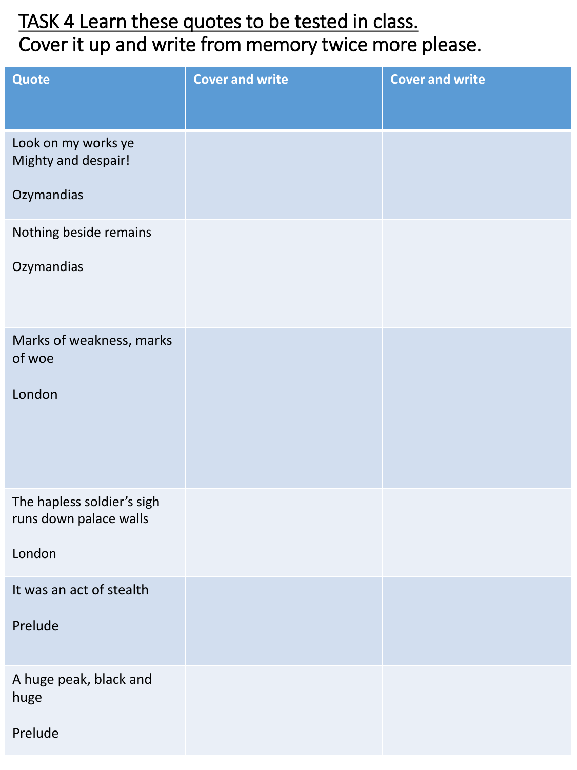## TASK 4 Learn these quotes to be tested in class. Cover it up and write from memory twice more please.

| Quote                                                | <b>Cover and write</b> | <b>Cover and write</b> |
|------------------------------------------------------|------------------------|------------------------|
|                                                      |                        |                        |
| Look on my works ye<br>Mighty and despair!           |                        |                        |
| Ozymandias                                           |                        |                        |
| Nothing beside remains                               |                        |                        |
| Ozymandias                                           |                        |                        |
| Marks of weakness, marks<br>of woe                   |                        |                        |
| London                                               |                        |                        |
| The hapless soldier's sigh<br>runs down palace walls |                        |                        |
| London                                               |                        |                        |
| It was an act of stealth                             |                        |                        |
| Prelude                                              |                        |                        |
| A huge peak, black and<br>huge                       |                        |                        |
| Prelude                                              |                        |                        |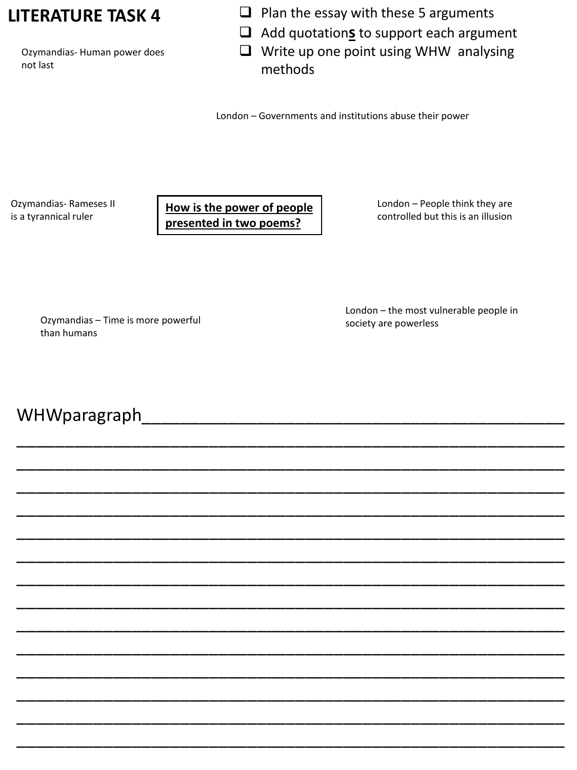#### **LITERATURE TASK 4**

Ozymandias- Human power does not last

- ❑ Plan the essay with these 5 arguments
- ❑ Add quotation**s** to support each argument
- ❑ Write up one point using WHW analysing methods

London – Governments and institutions abuse their power

Ozymandias- Rameses II is a tyrannical ruler

**How is the power of people presented in two poems?**

London – People think they are controlled but this is an illusion

Ozymandias – Time is more powerful than humans

London – the most vulnerable people in society are powerless

WHWparagraph

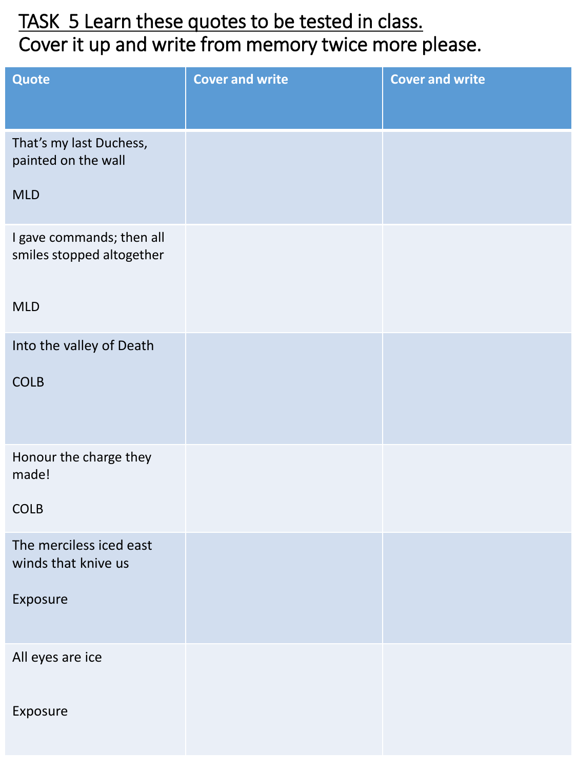## TASK 5 Learn these quotes to be tested in class. Cover it up and write from memory twice more please.

| Quote                                                  | <b>Cover and write</b> | <b>Cover and write</b> |
|--------------------------------------------------------|------------------------|------------------------|
| That's my last Duchess,<br>painted on the wall         |                        |                        |
| <b>MLD</b>                                             |                        |                        |
| I gave commands; then all<br>smiles stopped altogether |                        |                        |
| <b>MLD</b>                                             |                        |                        |
| Into the valley of Death                               |                        |                        |
| <b>COLB</b>                                            |                        |                        |
| Honour the charge they<br>made!                        |                        |                        |
| <b>COLB</b>                                            |                        |                        |
| The merciless iced east<br>winds that knive us         |                        |                        |
| Exposure                                               |                        |                        |
| All eyes are ice                                       |                        |                        |
| Exposure                                               |                        |                        |